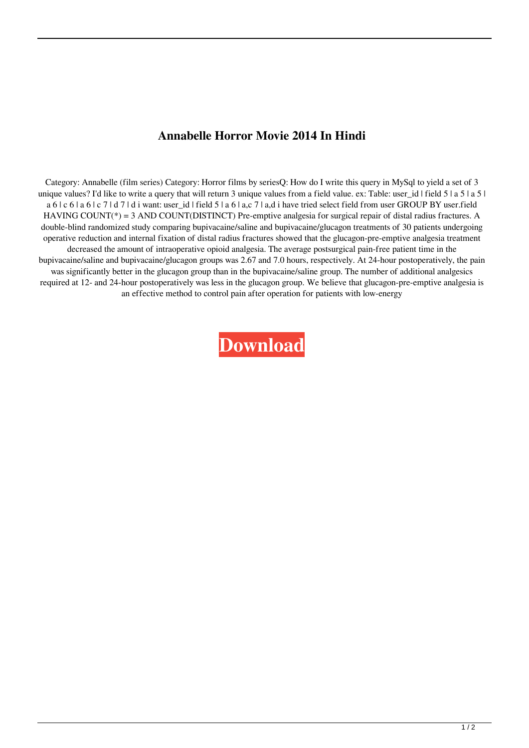## **Annabelle Horror Movie 2014 In Hindi**

Category: Annabelle (film series) Category: Horror films by seriesQ: How do I write this query in MySql to yield a set of 3 unique values? I'd like to write a query that will return 3 unique values from a field value. ex: Table: user\_id | field 5 | a 5 | a 5 | a 6 | c 6 | a 6 | c 7 | d 7 | d i want: user id | field 5 | a 6 | a,c 7 | a,d i have tried select field from user GROUP BY user.field HAVING COUNT(\*) = 3 AND COUNT(DISTINCT) Pre-emptive analgesia for surgical repair of distal radius fractures. A double-blind randomized study comparing bupivacaine/saline and bupivacaine/glucagon treatments of 30 patients undergoing operative reduction and internal fixation of distal radius fractures showed that the glucagon-pre-emptive analgesia treatment decreased the amount of intraoperative opioid analgesia. The average postsurgical pain-free patient time in the bupivacaine/saline and bupivacaine/glucagon groups was 2.67 and 7.0 hours, respectively. At 24-hour postoperatively, the pain was significantly better in the glucagon group than in the bupivacaine/saline group. The number of additional analgesics required at 12- and 24-hour postoperatively was less in the glucagon group. We believe that glucagon-pre-emptive analgesia is an effective method to control pain after operation for patients with low-energy